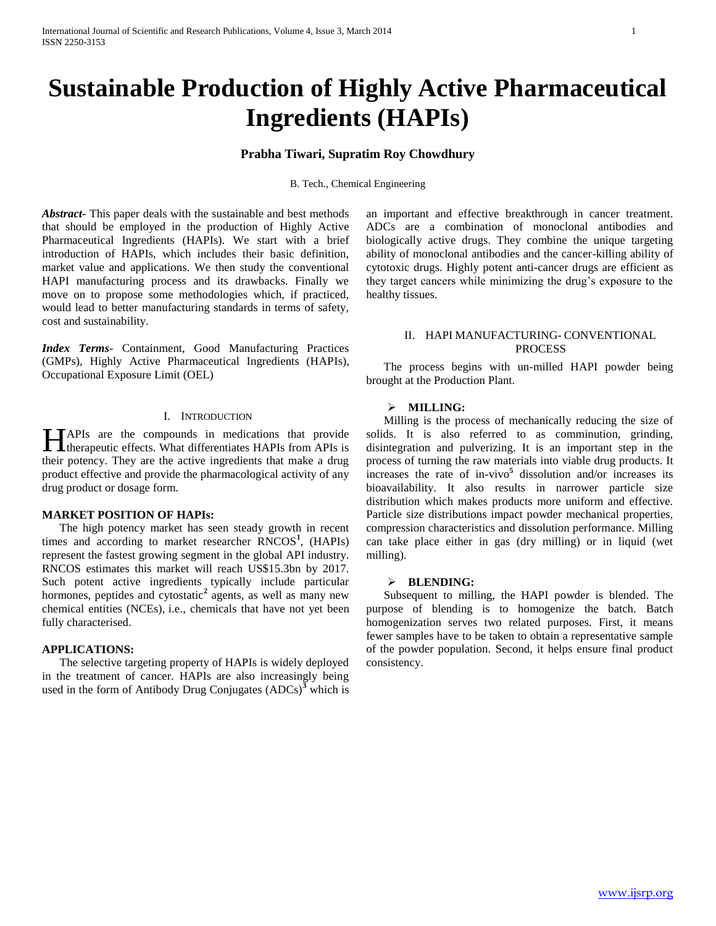# **Sustainable Production of Highly Active Pharmaceutical Ingredients (HAPIs)**

## **Prabha Tiwari, Supratim Roy Chowdhury**

B. Tech., Chemical Engineering

*Abstract***-** This paper deals with the sustainable and best methods that should be employed in the production of Highly Active Pharmaceutical Ingredients (HAPIs). We start with a brief introduction of HAPIs, which includes their basic definition, market value and applications. We then study the conventional HAPI manufacturing process and its drawbacks. Finally we move on to propose some methodologies which, if practiced, would lead to better manufacturing standards in terms of safety, cost and sustainability.

*Index Terms*- Containment, Good Manufacturing Practices (GMPs), Highly Active Pharmaceutical Ingredients (HAPIs), Occupational Exposure Limit (OEL)

#### I. INTRODUCTION

APIs are the compounds in medications that provide HAPIs are the compounds in medications that provide<br>therapeutic effects. What differentiates HAPIs from APIs is their potency. They are the active ingredients that make a drug product effective and provide the pharmacological activity of any drug product or dosage form.

#### **MARKET POSITION OF HAPIs:**

 The high potency market has seen steady growth in recent times and according to market researcher RNCOS<sup>1</sup>, (HAPIs) represent the fastest growing segment in the global API industry. RNCOS estimates this market will reach US\$15.3bn by 2017. Such potent active ingredients typically include particular hormones, peptides and cytostatic<sup>2</sup> agents, as well as many new chemical entities (NCEs), i.e., chemicals that have not yet been fully characterised.

## **APPLICATIONS:**

 The selective targeting property of HAPIs is widely deployed in the treatment of cancer. HAPIs are also increasingly being used in the form of Antibody Drug Conjugates  $(ADCs)^3$  which is an important and effective breakthrough in cancer treatment. ADCs are a combination of monoclonal antibodies and biologically active drugs. They combine the unique targeting ability of monoclonal antibodies and the cancer-killing ability of cytotoxic drugs. Highly potent anti-cancer drugs are efficient as they target cancers while minimizing the drug's exposure to the healthy tissues.

#### II. HAPI MANUFACTURING- CONVENTIONAL PROCESS

 The process begins with un-milled HAPI powder being brought at the Production Plant.

#### **MILLING:**

 Milling is the process of mechanically reducing the size of solids. It is also referred to as comminution, grinding, disintegration and pulverizing. It is an important step in the process of turning the raw materials into viable drug products. It increases the rate of in-vivo**<sup>5</sup>** dissolution and/or increases its bioavailability. It also results in narrower particle size distribution which makes products more uniform and effective. Particle size distributions impact powder mechanical properties, compression characteristics and dissolution performance. Milling can take place either in gas (dry milling) or in liquid (wet milling).

#### **BLENDING:**

 Subsequent to milling, the HAPI powder is blended. The purpose of blending is to homogenize the batch. Batch homogenization serves two related purposes. First, it means fewer samples have to be taken to obtain a representative sample of the powder population. Second, it helps ensure final product consistency.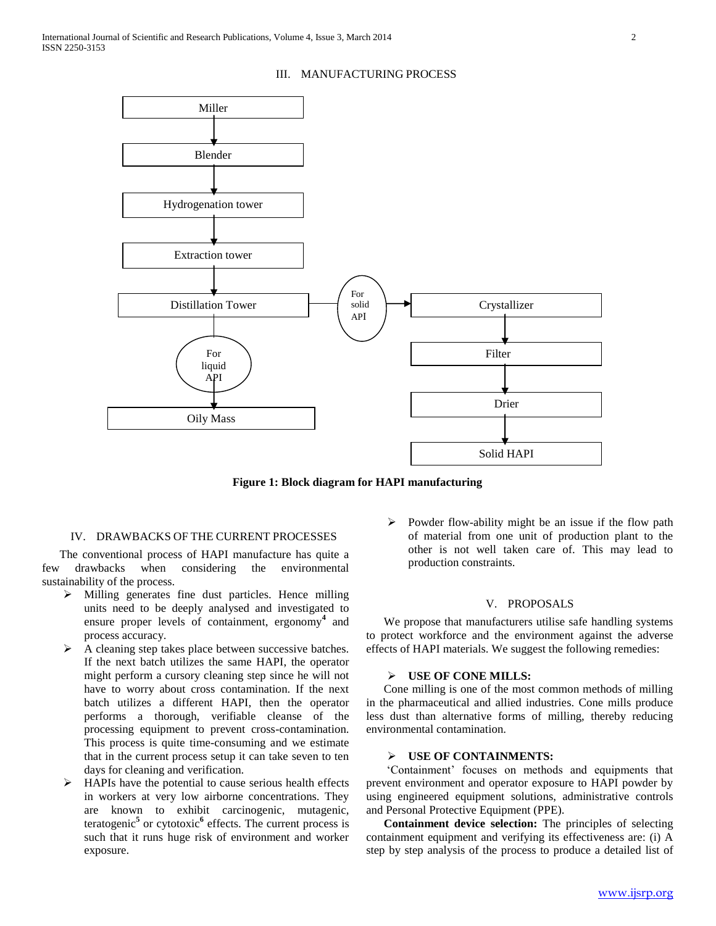Distillation Tower  $\Box$  solid  $\Box$  Crystallizer Filter Oily Mass Drier Solid HAPI For liquid API For solid API Miller Blender Extraction tower Hydrogenation tower

#### III. MANUFACTURING PROCESS

**Figure 1: Block diagram for HAPI manufacturing**

#### IV. DRAWBACKS OF THE CURRENT PROCESSES

 The conventional process of HAPI manufacture has quite a few drawbacks when considering the environmental sustainability of the process.

- $\triangleright$  Milling generates fine dust particles. Hence milling units need to be deeply analysed and investigated to ensure proper levels of containment, ergonomy**<sup>4</sup>** and process accuracy.
- $\triangleright$  A cleaning step takes place between successive batches. If the next batch utilizes the same HAPI, the operator might perform a cursory cleaning step since he will not have to worry about cross contamination. If the next batch utilizes a different HAPI, then the operator performs a thorough, verifiable cleanse of the processing equipment to prevent cross-contamination. This process is quite time-consuming and we estimate that in the current process setup it can take seven to ten days for cleaning and verification.
- HAPIs have the potential to cause serious health effects in workers at very low airborne concentrations. They are known to exhibit carcinogenic, mutagenic, teratogenic**<sup>5</sup>** or cytotoxic**<sup>6</sup>** effects. The current process is such that it runs huge risk of environment and worker exposure.

 Powder flow-ability might be an issue if the flow path of material from one unit of production plant to the other is not well taken care of. This may lead to production constraints.

#### V. PROPOSALS

 We propose that manufacturers utilise safe handling systems to protect workforce and the environment against the adverse effects of HAPI materials. We suggest the following remedies:

#### **USE OF CONE MILLS:**

 Cone milling is one of the most common methods of milling in the pharmaceutical and allied industries. Cone mills produce less dust than alternative forms of milling, thereby reducing environmental contamination.

#### **USE OF CONTAINMENTS:**

 'Containment' focuses on methods and equipments that prevent environment and operator exposure to HAPI powder by using engineered equipment solutions, administrative controls and Personal Protective Equipment (PPE).

 **Containment device selection:** The principles of selecting containment equipment and verifying its effectiveness are: (i) A step by step analysis of the process to produce a detailed list of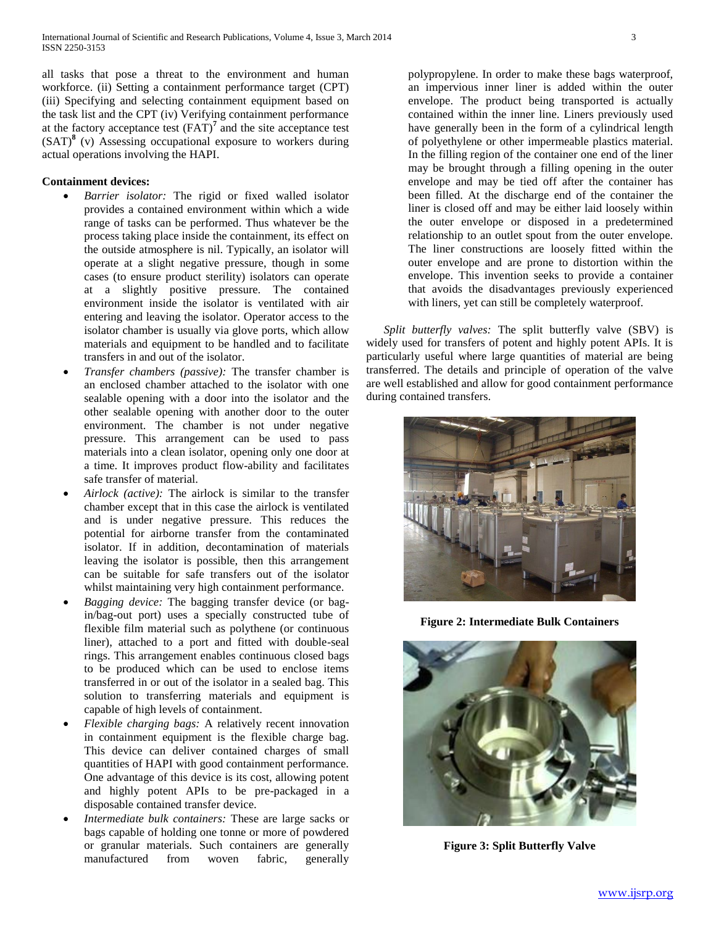all tasks that pose a threat to the environment and human workforce. (ii) Setting a containment performance target (CPT) (iii) Specifying and selecting containment equipment based on the task list and the CPT (iv) Verifying containment performance at the factory acceptance test (FAT)**<sup>7</sup>** and the site acceptance test (SAT)**<sup>8</sup>** (v) Assessing occupational exposure to workers during actual operations involving the HAPI.

## **Containment devices:**

- *Barrier isolator:* The rigid or fixed walled isolator provides a contained environment within which a wide range of tasks can be performed. Thus whatever be the process taking place inside the containment, its effect on the outside atmosphere is nil. Typically, an isolator will operate at a slight negative pressure, though in some cases (to ensure product sterility) isolators can operate at a slightly positive pressure. The contained environment inside the isolator is ventilated with air entering and leaving the isolator. Operator access to the isolator chamber is usually via glove ports, which allow materials and equipment to be handled and to facilitate transfers in and out of the isolator.
- *Transfer chambers (passive):* The transfer chamber is an enclosed chamber attached to the isolator with one sealable opening with a door into the isolator and the other sealable opening with another door to the outer environment. The chamber is not under negative pressure. This arrangement can be used to pass materials into a clean isolator, opening only one door at a time. It improves product flow-ability and facilitates safe transfer of material.
- *Airlock (active):* The airlock is similar to the transfer chamber except that in this case the airlock is ventilated and is under negative pressure. This reduces the potential for airborne transfer from the contaminated isolator. If in addition, decontamination of materials leaving the isolator is possible, then this arrangement can be suitable for safe transfers out of the isolator whilst maintaining very high containment performance.
- *Bagging device:* The bagging transfer device (or bagin/bag-out port) uses a specially constructed tube of flexible film material such as polythene (or continuous liner), attached to a port and fitted with double-seal rings. This arrangement enables continuous closed bags to be produced which can be used to enclose items transferred in or out of the isolator in a sealed bag. This solution to transferring materials and equipment is capable of high levels of containment.
- *Flexible charging bags:* A relatively recent innovation in containment equipment is the flexible charge bag. This device can deliver contained charges of small quantities of HAPI with good containment performance. One advantage of this device is its cost, allowing potent and highly potent APIs to be pre-packaged in a disposable contained transfer device.
- *Intermediate bulk containers:* These are large sacks or bags capable of holding one tonne or more of powdered or granular materials. Such containers are generally manufactured from woven fabric, generally

polypropylene. In order to make these bags waterproof, an impervious inner liner is added within the outer envelope. The product being transported is actually contained within the inner line. Liners previously used have generally been in the form of a cylindrical length of polyethylene or other impermeable plastics material. In the filling region of the container one end of the liner may be brought through a filling opening in the outer envelope and may be tied off after the container has been filled. At the discharge end of the container the liner is closed off and may be either laid loosely within the outer envelope or disposed in a predetermined relationship to an outlet spout from the outer envelope. The liner constructions are loosely fitted within the outer envelope and are prone to distortion within the envelope. This invention seeks to provide a container that avoids the disadvantages previously experienced with liners, yet can still be completely waterproof.

 *Split butterfly valves:* The split butterfly valve (SBV) is widely used for transfers of potent and highly potent APIs. It is particularly useful where large quantities of material are being transferred. The details and principle of operation of the valve are well established and allow for good containment performance during contained transfers.



**Figure 2: Intermediate Bulk Containers**



**Figure 3: Split Butterfly Valve**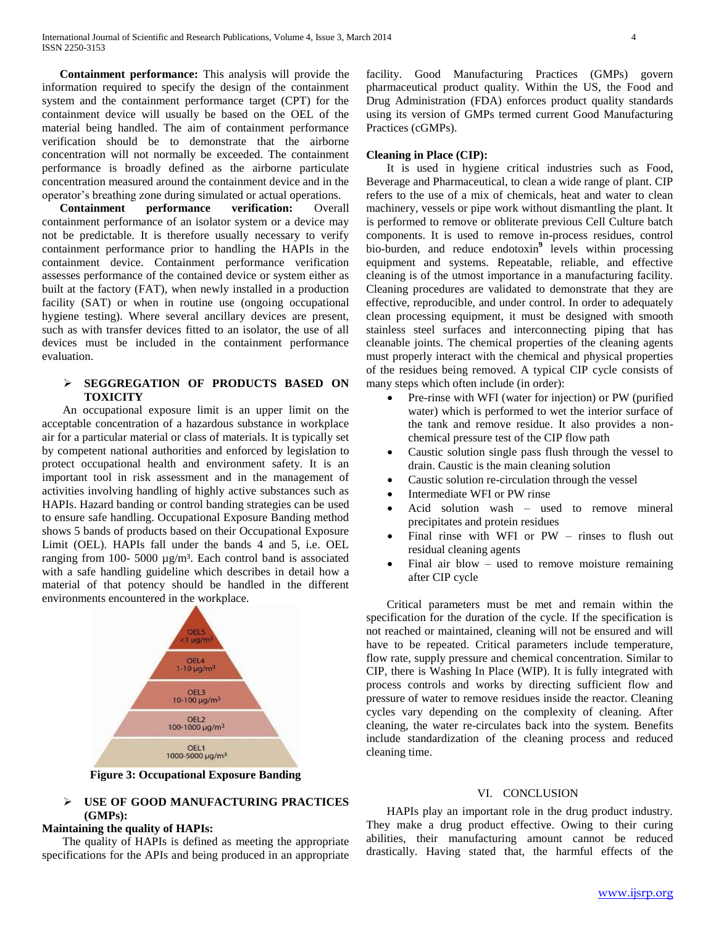**Containment performance:** This analysis will provide the information required to specify the design of the containment system and the containment performance target (CPT) for the containment device will usually be based on the OEL of the material being handled. The aim of containment performance verification should be to demonstrate that the airborne concentration will not normally be exceeded. The containment performance is broadly defined as the airborne particulate concentration measured around the containment device and in the operator's breathing zone during simulated or actual operations.

 **Containment performance verification:** Overall containment performance of an isolator system or a device may not be predictable. It is therefore usually necessary to verify containment performance prior to handling the HAPIs in the containment device. Containment performance verification assesses performance of the contained device or system either as built at the factory (FAT), when newly installed in a production facility (SAT) or when in routine use (ongoing occupational hygiene testing). Where several ancillary devices are present, such as with transfer devices fitted to an isolator, the use of all devices must be included in the containment performance evaluation.

### **SEGGREGATION OF PRODUCTS BASED ON TOXICITY**

 An occupational exposure limit is an upper limit on the acceptable concentration of a hazardous substance in workplace air for a particular material or class of materials. It is typically set by competent national authorities and enforced by legislation to protect occupational health and environment safety. It is an important tool in risk assessment and in the management of activities involving handling of highly active substances such as HAPIs. Hazard banding or control banding strategies can be used to ensure safe handling. Occupational Exposure Banding method shows 5 bands of products based on their Occupational Exposure Limit (OEL). HAPIs fall under the bands 4 and 5, i.e. OEL ranging from 100- 5000  $\mu$ g/m<sup>3</sup>. Each control band is associated with a safe handling guideline which describes in detail how a material of that potency should be handled in the different environments encountered in the workplace.



**Figure 3: Occupational Exposure Banding**

## **USE OF GOOD MANUFACTURING PRACTICES (GMPs):**

## **Maintaining the quality of HAPIs:**

 The quality of HAPIs is defined as meeting the appropriate specifications for the APIs and being produced in an appropriate

facility. Good Manufacturing Practices (GMPs) govern pharmaceutical product quality. Within the US, the Food and Drug Administration (FDA) enforces product quality standards using its version of GMPs termed current Good Manufacturing Practices (cGMPs).

## **Cleaning in Place (CIP):**

 It is used in hygiene critical industries such as Food, Beverage and Pharmaceutical, to clean a wide range of plant. CIP refers to the use of a mix of chemicals, heat and water to clean machinery, vessels or pipe work without dismantling the plant. It is performed to remove or obliterate previous Cell Culture batch components. It is used to remove in-process residues, control bio-burden, and reduce endotoxin**<sup>9</sup>** levels within processing equipment and systems. Repeatable, reliable, and effective cleaning is of the utmost importance in a manufacturing facility. Cleaning procedures are validated to demonstrate that they are effective, reproducible, and under control. In order to adequately clean processing equipment, it must be designed with smooth stainless steel surfaces and interconnecting piping that has cleanable joints. The chemical properties of the cleaning agents must properly interact with the chemical and physical properties of the residues being removed. A typical CIP cycle consists of many steps which often include (in order):

- Pre-rinse with WFI (water for injection) or PW (purified water) which is performed to wet the interior surface of the tank and remove residue. It also provides a nonchemical pressure test of the CIP flow path
- Caustic solution single pass flush through the vessel to drain. Caustic is the main cleaning solution
- Caustic solution re-circulation through the vessel
- Intermediate WFI or PW rinse
- Acid solution wash used to remove mineral precipitates and protein residues
- Final rinse with WFI or PW rinses to flush out residual cleaning agents
- Final air blow used to remove moisture remaining after CIP cycle

 Critical parameters must be met and remain within the specification for the duration of the cycle. If the specification is not reached or maintained, cleaning will not be ensured and will have to be repeated. Critical parameters include temperature, flow rate, supply pressure and chemical concentration. Similar to CIP, there is Washing In Place (WIP). It is fully integrated with process controls and works by directing sufficient flow and pressure of water to remove residues inside the reactor. Cleaning cycles vary depending on the complexity of cleaning. After cleaning, the water re-circulates back into the system. Benefits include standardization of the cleaning process and reduced cleaning time.

#### VI. CONCLUSION

 HAPIs play an important role in the drug product industry. They make a drug product effective. Owing to their curing abilities, their manufacturing amount cannot be reduced drastically. Having stated that, the harmful effects of the